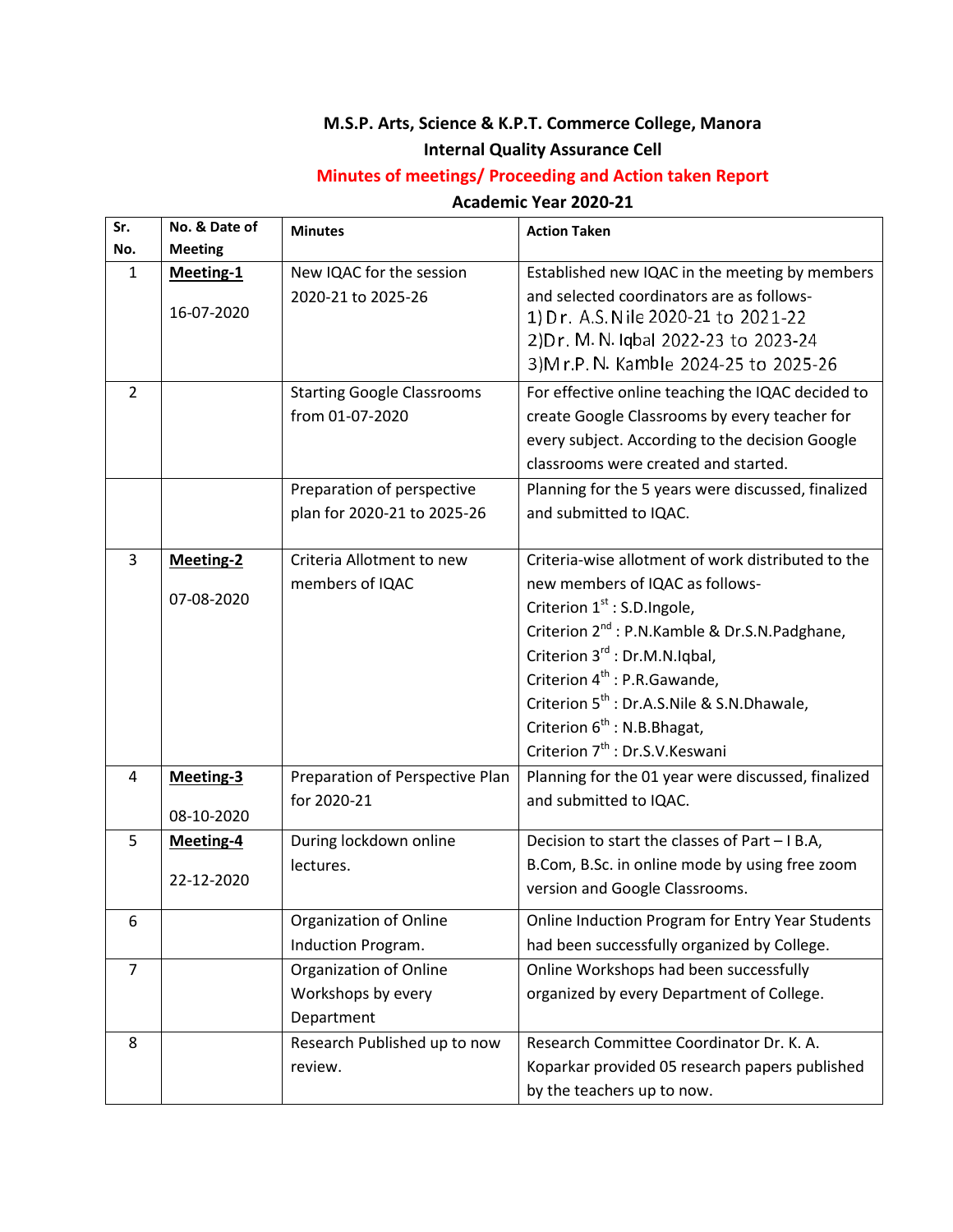## **M.S.P. Arts, Science & K.P.T. Commerce College, Manora**

## **Internal Quality Assurance Cell**

## **Minutes of meetings/ Proceeding and Action taken Report**

## **Academic Year 2020-21**

| Sr.            | No. & Date of    | <b>Minutes</b>                    | <b>Action Taken</b>                                                                                                                                                |
|----------------|------------------|-----------------------------------|--------------------------------------------------------------------------------------------------------------------------------------------------------------------|
| No.            | <b>Meeting</b>   |                                   |                                                                                                                                                                    |
| 1              | Meeting-1        | New IQAC for the session          | Established new IQAC in the meeting by members                                                                                                                     |
|                | 16-07-2020       | 2020-21 to 2025-26                | and selected coordinators are as follows-<br>1) Dr. A.S. Nile 2020-21 to 2021-22<br>2) Dr. M. N. Iqbal 2022-23 to 2023-24<br>3) Mr.P. N. Kamble 2024-25 to 2025-26 |
| 2              |                  | <b>Starting Google Classrooms</b> | For effective online teaching the IQAC decided to                                                                                                                  |
|                |                  | from 01-07-2020                   | create Google Classrooms by every teacher for                                                                                                                      |
|                |                  |                                   | every subject. According to the decision Google                                                                                                                    |
|                |                  |                                   | classrooms were created and started.                                                                                                                               |
|                |                  | Preparation of perspective        | Planning for the 5 years were discussed, finalized                                                                                                                 |
|                |                  | plan for 2020-21 to 2025-26       | and submitted to IQAC.                                                                                                                                             |
|                |                  |                                   |                                                                                                                                                                    |
| 3              | <b>Meeting-2</b> | Criteria Allotment to new         | Criteria-wise allotment of work distributed to the                                                                                                                 |
|                | 07-08-2020       | members of IQAC                   | new members of IQAC as follows-                                                                                                                                    |
|                |                  |                                   | Criterion $1st$ : S.D.Ingole,                                                                                                                                      |
|                |                  |                                   | Criterion 2 <sup>nd</sup> : P.N.Kamble & Dr.S.N.Padghane,                                                                                                          |
|                |                  |                                   | Criterion 3 <sup>rd</sup> : Dr.M.N.Iqbal,                                                                                                                          |
|                |                  |                                   | Criterion 4 <sup>th</sup> : P.R.Gawande,                                                                                                                           |
|                |                  |                                   | Criterion 5 <sup>th</sup> : Dr.A.S.Nile & S.N.Dhawale,                                                                                                             |
|                |                  |                                   | Criterion 6 <sup>th</sup> : N.B. Bhagat,                                                                                                                           |
|                |                  |                                   | Criterion 7 <sup>th</sup> : Dr.S.V.Keswani                                                                                                                         |
| 4              | Meeting-3        | Preparation of Perspective Plan   | Planning for the 01 year were discussed, finalized                                                                                                                 |
|                | 08-10-2020       | for 2020-21                       | and submitted to IQAC.                                                                                                                                             |
| 5              | <b>Meeting-4</b> | During lockdown online            | Decision to start the classes of Part - I B.A,                                                                                                                     |
|                |                  | lectures.                         | B.Com, B.Sc. in online mode by using free zoom                                                                                                                     |
|                | 22-12-2020       |                                   | version and Google Classrooms.                                                                                                                                     |
|                |                  |                                   |                                                                                                                                                                    |
| 6              |                  | Organization of Online            | Online Induction Program for Entry Year Students                                                                                                                   |
|                |                  | Induction Program.                | had been successfully organized by College.                                                                                                                        |
| $\overline{7}$ |                  | Organization of Online            | Online Workshops had been successfully                                                                                                                             |
|                |                  | Workshops by every                | organized by every Department of College.                                                                                                                          |
|                |                  | Department                        |                                                                                                                                                                    |
| 8              |                  | Research Published up to now      | Research Committee Coordinator Dr. K. A.                                                                                                                           |
|                |                  | review.                           | Koparkar provided 05 research papers published                                                                                                                     |
|                |                  |                                   | by the teachers up to now.                                                                                                                                         |